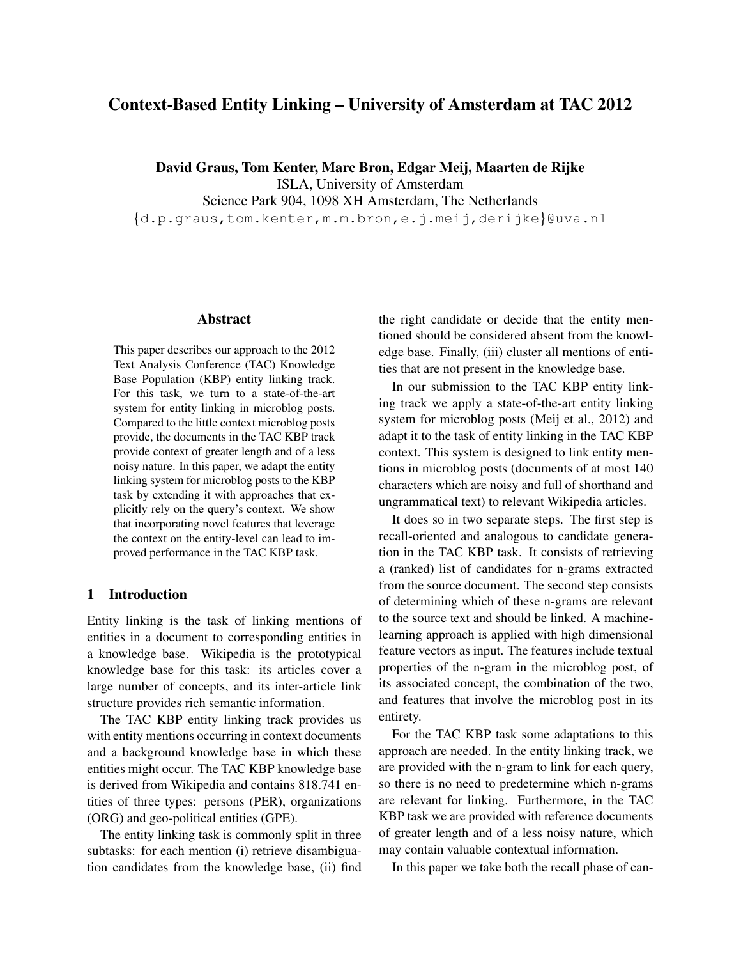# Context-Based Entity Linking – University of Amsterdam at TAC 2012

David Graus, Tom Kenter, Marc Bron, Edgar Meij, Maarten de Rijke

ISLA, University of Amsterdam

Science Park 904, 1098 XH Amsterdam, The Netherlands

{d.p.graus,tom.kenter,m.m.bron,e.j.meij,derijke}@uva.nl

### Abstract

This paper describes our approach to the 2012 Text Analysis Conference (TAC) Knowledge Base Population (KBP) entity linking track. For this task, we turn to a state-of-the-art system for entity linking in microblog posts. Compared to the little context microblog posts provide, the documents in the TAC KBP track provide context of greater length and of a less noisy nature. In this paper, we adapt the entity linking system for microblog posts to the KBP task by extending it with approaches that explicitly rely on the query's context. We show that incorporating novel features that leverage the context on the entity-level can lead to improved performance in the TAC KBP task.

## 1 Introduction

Entity linking is the task of linking mentions of entities in a document to corresponding entities in a knowledge base. Wikipedia is the prototypical knowledge base for this task: its articles cover a large number of concepts, and its inter-article link structure provides rich semantic information.

The TAC KBP entity linking track provides us with entity mentions occurring in context documents and a background knowledge base in which these entities might occur. The TAC KBP knowledge base is derived from Wikipedia and contains 818.741 entities of three types: persons (PER), organizations (ORG) and geo-political entities (GPE).

The entity linking task is commonly split in three subtasks: for each mention (i) retrieve disambiguation candidates from the knowledge base, (ii) find the right candidate or decide that the entity mentioned should be considered absent from the knowledge base. Finally, (iii) cluster all mentions of entities that are not present in the knowledge base.

In our submission to the TAC KBP entity linking track we apply a state-of-the-art entity linking system for microblog posts (Meij et al., 2012) and adapt it to the task of entity linking in the TAC KBP context. This system is designed to link entity mentions in microblog posts (documents of at most 140 characters which are noisy and full of shorthand and ungrammatical text) to relevant Wikipedia articles.

It does so in two separate steps. The first step is recall-oriented and analogous to candidate generation in the TAC KBP task. It consists of retrieving a (ranked) list of candidates for n-grams extracted from the source document. The second step consists of determining which of these n-grams are relevant to the source text and should be linked. A machinelearning approach is applied with high dimensional feature vectors as input. The features include textual properties of the n-gram in the microblog post, of its associated concept, the combination of the two, and features that involve the microblog post in its entirety.

For the TAC KBP task some adaptations to this approach are needed. In the entity linking track, we are provided with the n-gram to link for each query, so there is no need to predetermine which n-grams are relevant for linking. Furthermore, in the TAC KBP task we are provided with reference documents of greater length and of a less noisy nature, which may contain valuable contextual information.

In this paper we take both the recall phase of can-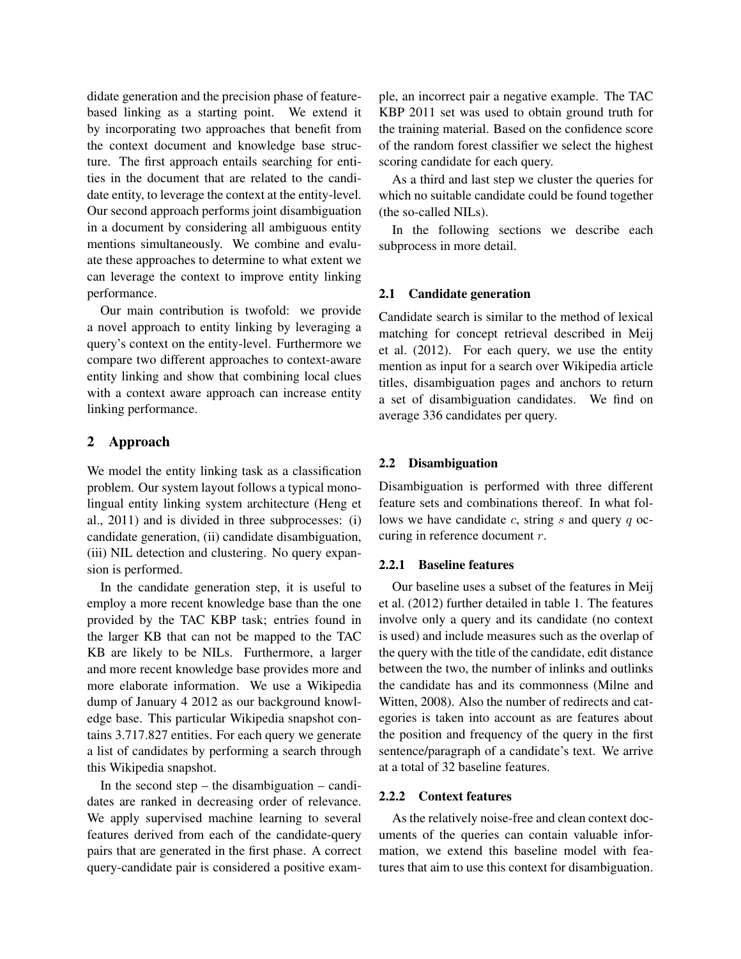didate generation and the precision phase of featurebased linking as a starting point. We extend it by incorporating two approaches that benefit from the context document and knowledge base structure. The first approach entails searching for entities in the document that are related to the candidate entity, to leverage the context at the entity-level. Our second approach performs joint disambiguation in a document by considering all ambiguous entity mentions simultaneously. We combine and evaluate these approaches to determine to what extent we can leverage the context to improve entity linking performance.

Our main contribution is twofold: we provide a novel approach to entity linking by leveraging a query's context on the entity-level. Furthermore we compare two different approaches to context-aware entity linking and show that combining local clues with a context aware approach can increase entity linking performance.

# 2 Approach

We model the entity linking task as a classification problem. Our system layout follows a typical monolingual entity linking system architecture (Heng et al., 2011) and is divided in three subprocesses: (i) candidate generation, (ii) candidate disambiguation, (iii) NIL detection and clustering. No query expansion is performed.

In the candidate generation step, it is useful to employ a more recent knowledge base than the one provided by the TAC KBP task; entries found in the larger KB that can not be mapped to the TAC KB are likely to be NILs. Furthermore, a larger and more recent knowledge base provides more and more elaborate information. We use a Wikipedia dump of January 4 2012 as our background knowledge base. This particular Wikipedia snapshot contains 3.717.827 entities. For each query we generate a list of candidates by performing a search through this Wikipedia snapshot.

In the second step – the disambiguation – candidates are ranked in decreasing order of relevance. We apply supervised machine learning to several features derived from each of the candidate-query pairs that are generated in the first phase. A correct query-candidate pair is considered a positive example, an incorrect pair a negative example. The TAC KBP 2011 set was used to obtain ground truth for the training material. Based on the confidence score of the random forest classifier we select the highest scoring candidate for each query.

As a third and last step we cluster the queries for which no suitable candidate could be found together (the so-called NILs).

In the following sections we describe each subprocess in more detail.

## 2.1 Candidate generation

Candidate search is similar to the method of lexical matching for concept retrieval described in Meij et al. (2012). For each query, we use the entity mention as input for a search over Wikipedia article titles, disambiguation pages and anchors to return a set of disambiguation candidates. We find on average 336 candidates per query.

## 2.2 Disambiguation

Disambiguation is performed with three different feature sets and combinations thereof. In what follows we have candidate  $c$ , string  $s$  and query  $q$  occuring in reference document r.

## 2.2.1 Baseline features

Our baseline uses a subset of the features in Meij et al. (2012) further detailed in table 1. The features involve only a query and its candidate (no context is used) and include measures such as the overlap of the query with the title of the candidate, edit distance between the two, the number of inlinks and outlinks the candidate has and its commonness (Milne and Witten, 2008). Also the number of redirects and categories is taken into account as are features about the position and frequency of the query in the first sentence/paragraph of a candidate's text. We arrive at a total of 32 baseline features.

## 2.2.2 Context features

As the relatively noise-free and clean context documents of the queries can contain valuable information, we extend this baseline model with features that aim to use this context for disambiguation.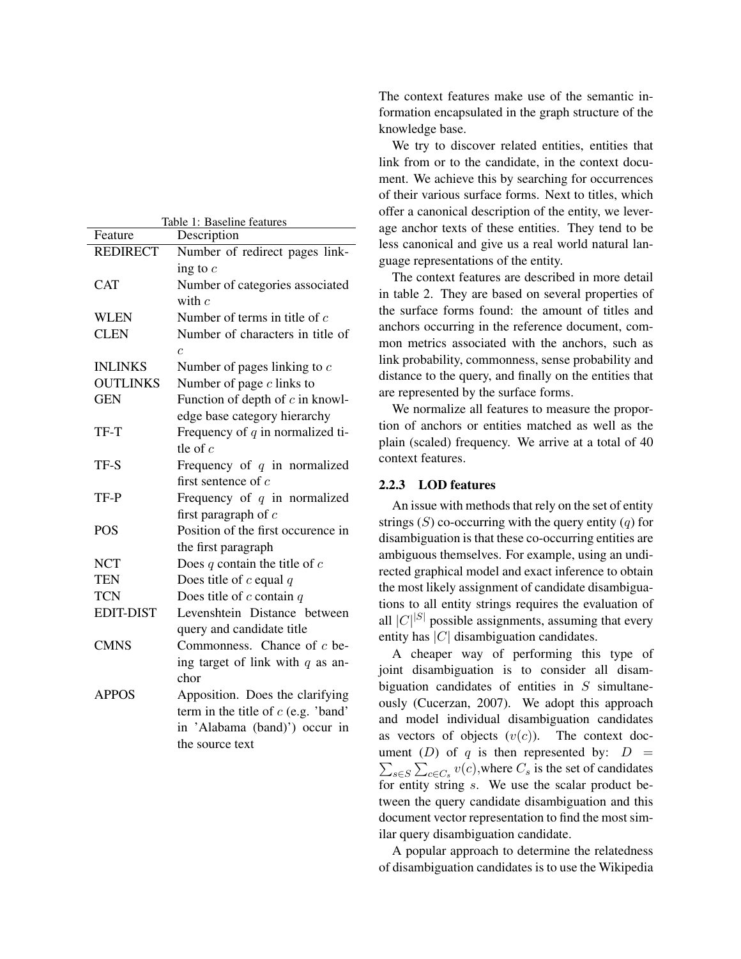| Table 1: Baseline features |                                       |  |
|----------------------------|---------------------------------------|--|
| Feature                    | Description                           |  |
| <b>REDIRECT</b>            | Number of redirect pages link-        |  |
|                            | ing to $c$                            |  |
| <b>CAT</b>                 | Number of categories associated       |  |
|                            | with $c$                              |  |
| <b>WLEN</b>                | Number of terms in title of $c$       |  |
| <b>CLEN</b>                | Number of characters in title of      |  |
|                            | $\overline{c}$                        |  |
| <b>INLINKS</b>             | Number of pages linking to $c$        |  |
| <b>OUTLINKS</b>            | Number of page $c$ links to           |  |
| <b>GEN</b>                 | Function of depth of $c$ in knowl-    |  |
|                            | edge base category hierarchy          |  |
| TF-T                       | Frequency of $q$ in normalized ti-    |  |
|                            | tle of $c$                            |  |
| TF-S                       | Frequency of $q$ in normalized        |  |
|                            | first sentence of $c$                 |  |
| TF-P                       | Frequency of $q$ in normalized        |  |
|                            | first paragraph of $c$                |  |
| <b>POS</b>                 | Position of the first occurence in    |  |
|                            | the first paragraph                   |  |
| <b>NCT</b>                 | Does $q$ contain the title of $c$     |  |
| <b>TEN</b>                 | Does title of c equal $q$             |  |
| <b>TCN</b>                 | Does title of $c$ contain $q$         |  |
| <b>EDIT-DIST</b>           | Levenshtein Distance between          |  |
|                            | query and candidate title             |  |
| <b>CMNS</b>                | Commonness. Chance of $c$ be-         |  |
|                            | ing target of link with $q$ as an-    |  |
|                            | chor                                  |  |
| <b>APPOS</b>               | Apposition. Does the clarifying       |  |
|                            | term in the title of $c$ (e.g. 'band' |  |
|                            | in 'Alabama (band)') occur in         |  |
|                            | the source text                       |  |

The context features make use of the semantic information encapsulated in the graph structure of the knowledge base.

We try to discover related entities, entities that link from or to the candidate, in the context document. We achieve this by searching for occurrences of their various surface forms. Next to titles, which offer a canonical description of the entity, we leverage anchor texts of these entities. They tend to be less canonical and give us a real world natural language representations of the entity.

The context features are described in more detail in table 2. They are based on several properties of the surface forms found: the amount of titles and anchors occurring in the reference document, common metrics associated with the anchors, such as link probability, commonness, sense probability and distance to the query, and finally on the entities that are represented by the surface forms.

We normalize all features to measure the proportion of anchors or entities matched as well as the plain (scaled) frequency. We arrive at a total of 40 context features.

## 2.2.3 LOD features

An issue with methods that rely on the set of entity strings  $(S)$  co-occurring with the query entity  $(q)$  for disambiguation is that these co-occurring entities are ambiguous themselves. For example, using an undirected graphical model and exact inference to obtain the most likely assignment of candidate disambiguations to all entity strings requires the evaluation of all  $|C|^{|S|}$  possible assignments, assuming that every entity has  $|C|$  disambiguation candidates.

A cheaper way of performing this type of joint disambiguation is to consider all disambiguation candidates of entities in  $S$  simultaneously (Cucerzan, 2007). We adopt this approach and model individual disambiguation candidates as vectors of objects  $(v(c))$ . The context document (*D*) of q is then represented by:  $D =$  $\sum_{s \in S} \sum_{c \in C_s} v(c)$ , where  $C_s$  is the set of candidates for entity string s. We use the scalar product between the query candidate disambiguation and this document vector representation to find the most similar query disambiguation candidate.

A popular approach to determine the relatedness of disambiguation candidates is to use the Wikipedia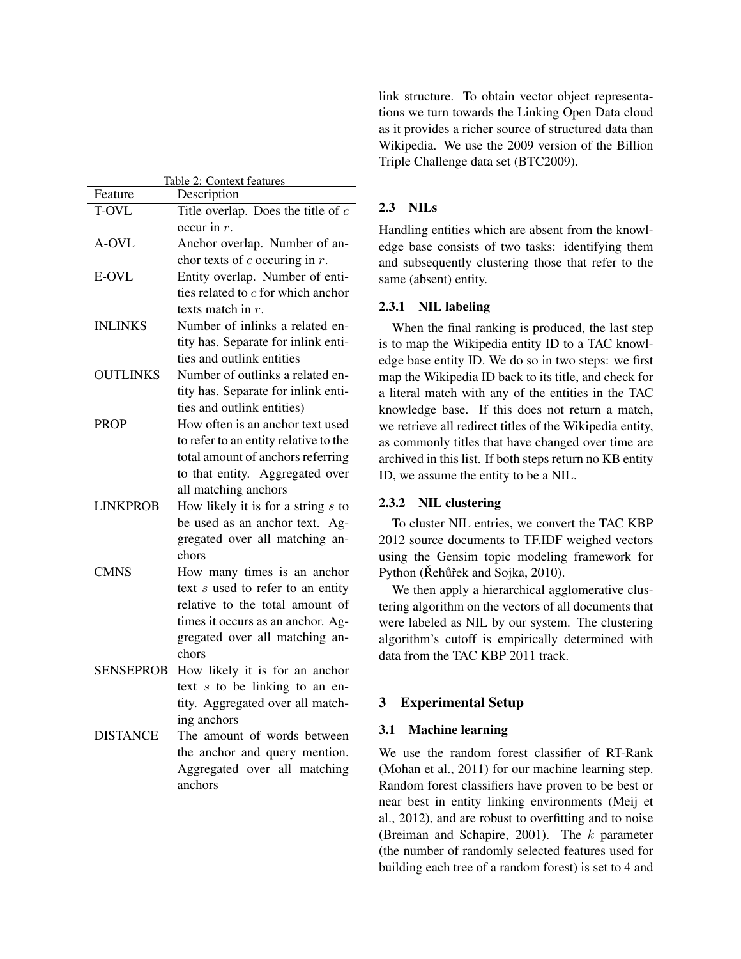| Table 2: Context features |                                       |  |  |
|---------------------------|---------------------------------------|--|--|
| Feature                   | Description                           |  |  |
| <b>T-OVL</b>              | Title overlap. Does the title of $c$  |  |  |
|                           | occur in $r$ .                        |  |  |
| A-OVL                     | Anchor overlap. Number of an-         |  |  |
|                           | chor texts of $c$ occuring in $r$ .   |  |  |
| E-OVL                     | Entity overlap. Number of enti-       |  |  |
|                           | ties related to $c$ for which anchor  |  |  |
|                           | texts match in $r$ .                  |  |  |
| <b>INLINKS</b>            | Number of inlinks a related en-       |  |  |
|                           | tity has. Separate for inlink enti-   |  |  |
|                           | ties and outlink entities             |  |  |
| <b>OUTLINKS</b>           | Number of outlinks a related en-      |  |  |
|                           | tity has. Separate for inlink enti-   |  |  |
|                           | ties and outlink entities)            |  |  |
| <b>PROP</b>               | How often is an anchor text used      |  |  |
|                           | to refer to an entity relative to the |  |  |
|                           | total amount of anchors referring     |  |  |
|                           | to that entity. Aggregated over       |  |  |
|                           | all matching anchors                  |  |  |
| <b>LINKPROB</b>           | How likely it is for a string $s$ to  |  |  |
|                           | be used as an anchor text. Ag-        |  |  |
|                           | gregated over all matching an-        |  |  |
|                           | chors                                 |  |  |
| <b>CMNS</b>               | How many times is an anchor           |  |  |
|                           | text s used to refer to an entity     |  |  |
|                           | relative to the total amount of       |  |  |
|                           | times it occurs as an anchor. Ag-     |  |  |
|                           | gregated over all matching an-        |  |  |
|                           | chors                                 |  |  |
| <b>SENSEPROB</b>          | How likely it is for an anchor        |  |  |
|                           | text $s$ to be linking to an en-      |  |  |
|                           | tity. Aggregated over all match-      |  |  |
|                           | ing anchors                           |  |  |
| <b>DISTANCE</b>           | The amount of words between           |  |  |
|                           | the anchor and query mention.         |  |  |
|                           | Aggregated over all matching          |  |  |
|                           | anchors                               |  |  |
|                           |                                       |  |  |

link structure. To obtain vector object representations we turn towards the Linking Open Data cloud as it provides a richer source of structured data than Wikipedia. We use the 2009 version of the Billion Triple Challenge data set (BTC2009).

## 2.3 NILs

Handling entities which are absent from the knowledge base consists of two tasks: identifying them and subsequently clustering those that refer to the same (absent) entity.

### 2.3.1 NIL labeling

When the final ranking is produced, the last step is to map the Wikipedia entity ID to a TAC knowledge base entity ID. We do so in two steps: we first map the Wikipedia ID back to its title, and check for a literal match with any of the entities in the TAC knowledge base. If this does not return a match, we retrieve all redirect titles of the Wikipedia entity, as commonly titles that have changed over time are archived in this list. If both steps return no KB entity ID, we assume the entity to be a NIL.

### 2.3.2 NIL clustering

To cluster NIL entries, we convert the TAC KBP 2012 source documents to TF.IDF weighed vectors using the Gensim topic modeling framework for Python (Řehůřek and Sojka, 2010).

We then apply a hierarchical agglomerative clustering algorithm on the vectors of all documents that were labeled as NIL by our system. The clustering algorithm's cutoff is empirically determined with data from the TAC KBP 2011 track.

#### 3 Experimental Setup

#### 3.1 Machine learning

We use the random forest classifier of RT-Rank (Mohan et al., 2011) for our machine learning step. Random forest classifiers have proven to be best or near best in entity linking environments (Meij et al., 2012), and are robust to overfitting and to noise (Breiman and Schapire, 2001). The  $k$  parameter (the number of randomly selected features used for building each tree of a random forest) is set to 4 and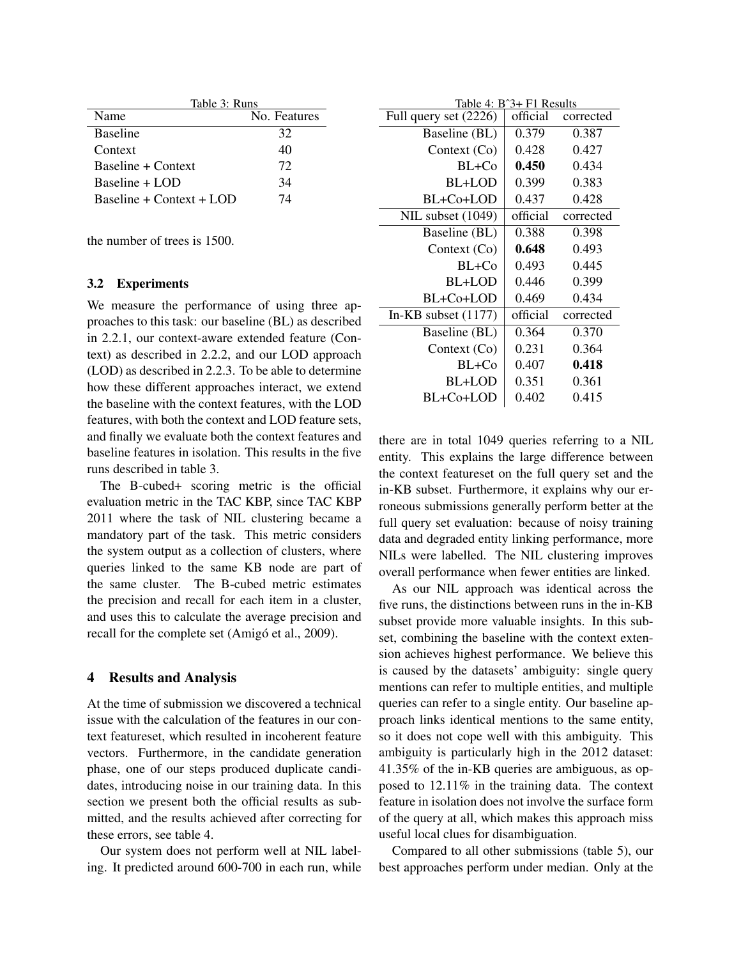| Table 3: Runs               |              |
|-----------------------------|--------------|
| Name                        | No. Features |
| <b>Baseline</b>             | 32           |
| Context                     | 40           |
| Baseline + Context          | 72           |
| $Baseline + LOD$            | 34           |
| Baseline + $Context + I.OD$ | 74           |

the number of trees is 1500.

#### 3.2 Experiments

We measure the performance of using three approaches to this task: our baseline (BL) as described in 2.2.1, our context-aware extended feature (Context) as described in 2.2.2, and our LOD approach (LOD) as described in 2.2.3. To be able to determine how these different approaches interact, we extend the baseline with the context features, with the LOD features, with both the context and LOD feature sets, and finally we evaluate both the context features and baseline features in isolation. This results in the five runs described in table 3.

The B-cubed+ scoring metric is the official evaluation metric in the TAC KBP, since TAC KBP 2011 where the task of NIL clustering became a mandatory part of the task. This metric considers the system output as a collection of clusters, where queries linked to the same KB node are part of the same cluster. The B-cubed metric estimates the precision and recall for each item in a cluster, and uses this to calculate the average precision and recall for the complete set (Amigó et al., 2009).

## 4 Results and Analysis

At the time of submission we discovered a technical issue with the calculation of the features in our context featureset, which resulted in incoherent feature vectors. Furthermore, in the candidate generation phase, one of our steps produced duplicate candidates, introducing noise in our training data. In this section we present both the official results as submitted, and the results achieved after correcting for these errors, see table 4.

Our system does not perform well at NIL labeling. It predicted around 600-700 in each run, while

| Table 4: B^3+ F1 Results |          |           |  |  |
|--------------------------|----------|-----------|--|--|
| Full query set (2226)    | official | corrected |  |  |
| Baseline (BL)            | 0.379    | 0.387     |  |  |
| Context $(Co)$           | 0.428    | 0.427     |  |  |
| $BL+Co$                  | 0.450    | 0.434     |  |  |
| BL+LOD                   | 0.399    | 0.383     |  |  |
| BL+Co+LOD                | 0.437    | 0.428     |  |  |
| NIL subset (1049)        | official | corrected |  |  |
| Baseline (BL)            | 0.388    | 0.398     |  |  |
| Context $(Co)$           | 0.648    | 0.493     |  |  |
| $BL+Co$                  | 0.493    | 0.445     |  |  |
| BL+LOD                   | 0.446    | 0.399     |  |  |
| BL+Co+LOD                | 0.469    | 0.434     |  |  |
| In-KB subset $(1177)$    | official | corrected |  |  |
| Baseline (BL)            | 0.364    | 0.370     |  |  |
| Context $(Co)$           | 0.231    | 0.364     |  |  |
| BL+Co                    | 0.407    | 0.418     |  |  |
| BL+LOD                   | 0.351    | 0.361     |  |  |
| BL+Co+LOD                | 0.402    | 0.415     |  |  |

there are in total 1049 queries referring to a NIL entity. This explains the large difference between the context featureset on the full query set and the in-KB subset. Furthermore, it explains why our erroneous submissions generally perform better at the full query set evaluation: because of noisy training data and degraded entity linking performance, more NILs were labelled. The NIL clustering improves overall performance when fewer entities are linked.

As our NIL approach was identical across the five runs, the distinctions between runs in the in-KB subset provide more valuable insights. In this subset, combining the baseline with the context extension achieves highest performance. We believe this is caused by the datasets' ambiguity: single query mentions can refer to multiple entities, and multiple queries can refer to a single entity. Our baseline approach links identical mentions to the same entity, so it does not cope well with this ambiguity. This ambiguity is particularly high in the 2012 dataset: 41.35% of the in-KB queries are ambiguous, as opposed to 12.11% in the training data. The context feature in isolation does not involve the surface form of the query at all, which makes this approach miss useful local clues for disambiguation.

Compared to all other submissions (table 5), our best approaches perform under median. Only at the